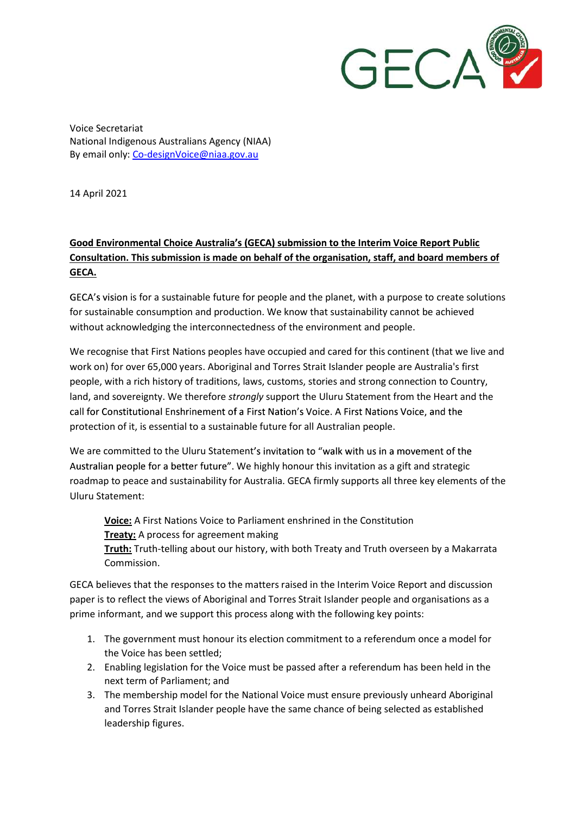

 Voice Secretariat National Indigenous Australians Agency (NIAA) By email only: Co-designVoice@niaa.gov.au

14 April 2021

## Good Environmental Choice Australia's (GECA) submission to the Interim Voice Report Public Consultation. This submission is made on behalf of the organisation, staff, and board members of GECA.

 is for a sustainable future for people and the planet, with a purpose to create solutions for sustainable consumption and production. We know that sustainability cannot be achieved without acknowledging the interconnectedness of the environment and people.

 We recognise that First Nations peoples have occupied and cared for this continent (that we live and work on) for over 65,000 years. Aboriginal and Torres Strait Islander people are Australia's first people, with a rich history of traditions, laws, customs, stories and strong connection to Country, land, and sovereignty. We therefore strongly support the Uluru Statement from the Heart and the call for Constitutional Enshrinement of a First Nation's Voice. A First Nations Voice, and the protection of it, is essential to a sustainable future for all Australian people.

 We are committed to the Uluru Statement We highly honour this invitation as a gift and strategic roadmap to peace and sustainability for Australia. GECA firmly supports all three key elements of the Uluru Statement:

Voice: A First Nations Voice to Parliament enshrined in the Constitution Treaty: A process for agreement making Truth: Truth-telling about our history, with both Treaty and Truth overseen by a Makarrata Commission.

 GECA believes that the responses to the matters raised in the Interim Voice Report and discussion paper is to reflect the views of Aboriginal and Torres Strait Islander people and organisations as a prime informant, and we support this process along with the following key points:

- 1. The government must honour its election commitment to a referendum once a model for the Voice has been settled;
- 2. Enabling legislation for the Voice must be passed after a referendum has been held in the next term of Parliament; and
- 3. The membership model for the National Voice must ensure previously unheard Aboriginal and Torres Strait Islander people have the same chance of being selected as established leadership figures.